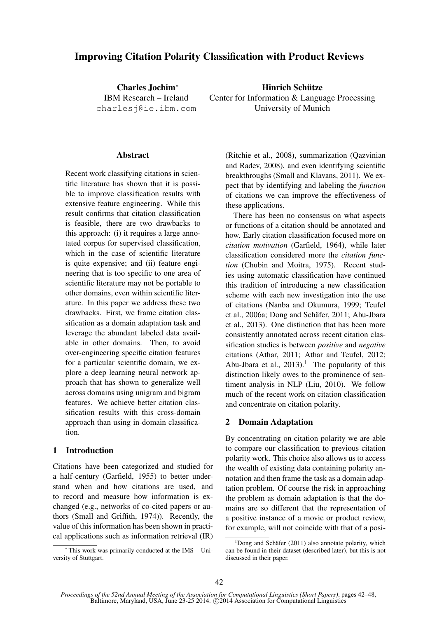# Improving Citation Polarity Classification with Product Reviews

Charles Jochim<sup>∗</sup> IBM Research – Ireland charlesj@ie.ibm.com

Hinrich Schütze Center for Information & Language Processing University of Munich

#### **Abstract**

Recent work classifying citations in scientific literature has shown that it is possible to improve classification results with extensive feature engineering. While this result confirms that citation classification is feasible, there are two drawbacks to this approach: (i) it requires a large annotated corpus for supervised classification, which in the case of scientific literature is quite expensive; and (ii) feature engineering that is too specific to one area of scientific literature may not be portable to other domains, even within scientific literature. In this paper we address these two drawbacks. First, we frame citation classification as a domain adaptation task and leverage the abundant labeled data available in other domains. Then, to avoid over-engineering specific citation features for a particular scientific domain, we explore a deep learning neural network approach that has shown to generalize well across domains using unigram and bigram features. We achieve better citation classification results with this cross-domain approach than using in-domain classification.

# 1 Introduction

Citations have been categorized and studied for a half-century (Garfield, 1955) to better understand when and how citations are used, and to record and measure how information is exchanged (e.g., networks of co-cited papers or authors (Small and Griffith, 1974)). Recently, the value of this information has been shown in practical applications such as information retrieval (IR)

This work was primarily conducted at the  $IMS - Uni$ versity of Stuttgart.

(Ritchie et al., 2008), summarization (Qazvinian and Radev, 2008), and even identifying scientific breakthroughs (Small and Klavans, 2011). We expect that by identifying and labeling the *function* of citations we can improve the effectiveness of these applications.

There has been no consensus on what aspects or functions of a citation should be annotated and how. Early citation classification focused more on *citation motivation* (Garfield, 1964), while later classification considered more the *citation function* (Chubin and Moitra, 1975). Recent studies using automatic classification have continued this tradition of introducing a new classification scheme with each new investigation into the use of citations (Nanba and Okumura, 1999; Teufel et al., 2006a; Dong and Schafer, 2011; Abu-Jbara ¨ et al., 2013). One distinction that has been more consistently annotated across recent citation classification studies is between *positive* and *negative* citations (Athar, 2011; Athar and Teufel, 2012; Abu-Jbara et al.,  $2013$ ).<sup>1</sup> The popularity of this distinction likely owes to the prominence of sentiment analysis in NLP (Liu, 2010). We follow much of the recent work on citation classification and concentrate on citation polarity.

# 2 Domain Adaptation

By concentrating on citation polarity we are able to compare our classification to previous citation polarity work. This choice also allows us to access the wealth of existing data containing polarity annotation and then frame the task as a domain adaptation problem. Of course the risk in approaching the problem as domain adaptation is that the domains are so different that the representation of a positive instance of a movie or product review, for example, will not coincide with that of a posi-

 $1$ Dong and Schäfer (2011) also annotate polarity, which can be found in their dataset (described later), but this is not discussed in their paper.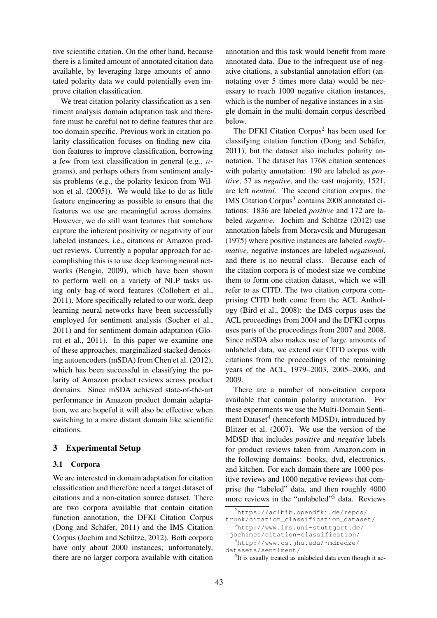tive scientific citation. On the other hand, because there is a limited amount of annotated citation data available, by leveraging large amounts of annotated polarity data we could potentially even improve citation classification.

We treat citation polarity classification as a sentiment analysis domain adaptation task and therefore must be careful not to define features that are too domain specific. Previous work in citation polarity classification focuses on finding new citation features to improve classification, borrowing a few from text classification in general (e.g., ngrams), and perhaps others from sentiment analysis problems (e.g., the polarity lexicon from Wilson et al. (2005)). We would like to do as little feature engineering as possible to ensure that the features we use are meaningful across domains. However, we do still want features that somehow capture the inherent positivity or negativity of our labeled instances, i.e., citations or Amazon product reviews. Currently a popular approach for accomplishing this is to use deep learning neural networks (Bengio, 2009), which have been shown to perform well on a variety of NLP tasks using only bag-of-word features (Collobert et al., 2011). More specifically related to our work, deep learning neural networks have been successfully employed for sentiment analysis (Socher et al., 2011) and for sentiment domain adaptation (Glorot et al., 2011). In this paper we examine one of these approaches, marginalized stacked denoising autoencoders (mSDA) from Chen et al. (2012), which has been successful in classifying the polarity of Amazon product reviews across product domains. Since mSDA achieved state-of-the-art performance in Amazon product domain adaptation, we are hopeful it will also be effective when switching to a more distant domain like scientific citations.

# 3 Experimental Setup

# 3.1 Corpora

We are interested in domain adaptation for citation classification and therefore need a target dataset of citations and a non-citation source dataset. There are two corpora available that contain citation function annotation, the DFKI Citation Corpus (Dong and Schäfer,  $2011$ ) and the IMS Citation Corpus (Jochim and Schütze, 2012). Both corpora have only about 2000 instances; unfortunately, there are no larger corpora available with citation

annotation and this task would benefit from more annotated data. Due to the infrequent use of negative citations, a substantial annotation effort (annotating over 5 times more data) would be necessary to reach 1000 negative citation instances, which is the number of negative instances in a single domain in the multi-domain corpus described below.

The DFKI Citation Corpus<sup>2</sup> has been used for classifying citation function (Dong and Schäfer, 2011), but the dataset also includes polarity annotation. The dataset has 1768 citation sentences with polarity annotation: 190 are labeled as *positive*, 57 as *negative*, and the vast majority, 1521, are left *neutral*. The second citation corpus, the IMS Citation Corpus<sup>3</sup> contains 2008 annotated citations: 1836 are labeled *positive* and 172 are labeled *negative*. Jochim and Schütze (2012) use annotation labels from Moravcsik and Murugesan (1975) where positive instances are labeled *confirmative*, negative instances are labeled *negational*, and there is no neutral class. Because each of the citation corpora is of modest size we combine them to form one citation dataset, which we will refer to as CITD. The two citation corpora comprising CITD both come from the ACL Anthology (Bird et al., 2008): the IMS corpus uses the ACL proceedings from 2004 and the DFKI corpus uses parts of the proceedings from 2007 and 2008. Since mSDA also makes use of large amounts of unlabeled data, we extend our CITD corpus with citations from the proceedings of the remaining years of the ACL, 1979–2003, 2005–2006, and 2009.

There are a number of non-citation corpora available that contain polarity annotation. For these experiments we use the Multi-Domain Sentiment Dataset<sup>4</sup> (henceforth MDSD), introduced by Blitzer et al. (2007). We use the version of the MDSD that includes *positive* and *negative* labels for product reviews taken from Amazon.com in the following domains: books, dvd, electronics, and kitchen. For each domain there are 1000 positive reviews and 1000 negative reviews that comprise the "labeled" data, and then roughly 4000 more reviews in the "unlabeled"<sup>5</sup> data. Reviews

<sup>2</sup>https://aclbib.opendfki.de/repos/ trunk/citation\_classification\_dataset/

<sup>3</sup>http://www.ims.uni-stuttgart.de/

<sup>˜</sup>jochimcs/citation-classification/ <sup>4</sup>http://www.cs.jhu.edu/˜mdredze/

datasets/sentiment/

<sup>&</sup>lt;sup>5</sup>It is usually treated as unlabeled data even though it ac-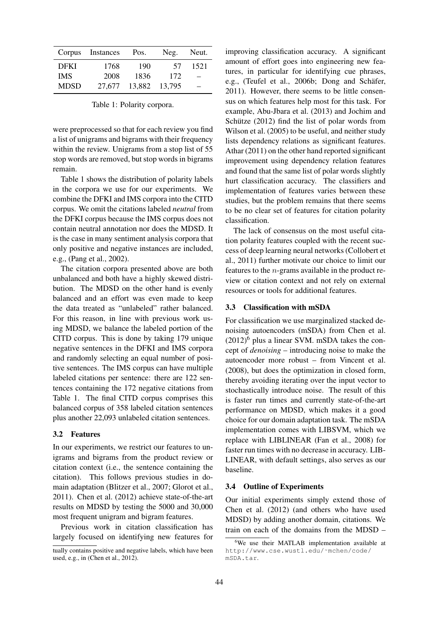| Corpus      | Instances | Pos.   | Neg.   | Neut. |
|-------------|-----------|--------|--------|-------|
| <b>DFKI</b> | 1768      | 190    | 57     | 1521  |
| <b>IMS</b>  | 2008      | 1836   | 172    |       |
| <b>MDSD</b> | 27,677    | 13,882 | 13.795 |       |

Table 1: Polarity corpora.

were preprocessed so that for each review you find a list of unigrams and bigrams with their frequency within the review. Unigrams from a stop list of 55 stop words are removed, but stop words in bigrams remain.

Table 1 shows the distribution of polarity labels in the corpora we use for our experiments. We combine the DFKI and IMS corpora into the CITD corpus. We omit the citations labeled *neutral* from the DFKI corpus because the IMS corpus does not contain neutral annotation nor does the MDSD. It is the case in many sentiment analysis corpora that only positive and negative instances are included, e.g., (Pang et al., 2002).

The citation corpora presented above are both unbalanced and both have a highly skewed distribution. The MDSD on the other hand is evenly balanced and an effort was even made to keep the data treated as "unlabeled" rather balanced. For this reason, in line with previous work using MDSD, we balance the labeled portion of the CITD corpus. This is done by taking 179 unique negative sentences in the DFKI and IMS corpora and randomly selecting an equal number of positive sentences. The IMS corpus can have multiple labeled citations per sentence: there are 122 sentences containing the 172 negative citations from Table 1. The final CITD corpus comprises this balanced corpus of 358 labeled citation sentences plus another 22,093 unlabeled citation sentences.

#### 3.2 Features

In our experiments, we restrict our features to unigrams and bigrams from the product review or citation context (i.e., the sentence containing the citation). This follows previous studies in domain adaptation (Blitzer et al., 2007; Glorot et al., 2011). Chen et al. (2012) achieve state-of-the-art results on MDSD by testing the 5000 and 30,000 most frequent unigram and bigram features.

Previous work in citation classification has largely focused on identifying new features for

improving classification accuracy. A significant amount of effort goes into engineering new features, in particular for identifying cue phrases, e.g., (Teufel et al., 2006b; Dong and Schäfer, 2011). However, there seems to be little consensus on which features help most for this task. For example, Abu-Jbara et al. (2013) and Jochim and Schütze  $(2012)$  find the list of polar words from Wilson et al. (2005) to be useful, and neither study lists dependency relations as significant features. Athar (2011) on the other hand reported significant improvement using dependency relation features and found that the same list of polar words slightly hurt classification accuracy. The classifiers and implementation of features varies between these studies, but the problem remains that there seems to be no clear set of features for citation polarity classification.

The lack of consensus on the most useful citation polarity features coupled with the recent success of deep learning neural networks (Collobert et al., 2011) further motivate our choice to limit our features to the n-grams available in the product review or citation context and not rely on external resources or tools for additional features.

## 3.3 Classification with mSDA

For classification we use marginalized stacked denoising autoencoders (mSDA) from Chen et al.  $(2012)^6$  plus a linear SVM. mSDA takes the concept of *denoising* – introducing noise to make the autoencoder more robust – from Vincent et al. (2008), but does the optimization in closed form, thereby avoiding iterating over the input vector to stochastically introduce noise. The result of this is faster run times and currently state-of-the-art performance on MDSD, which makes it a good choice for our domain adaptation task. The mSDA implementation comes with LIBSVM, which we replace with LIBLINEAR (Fan et al., 2008) for faster run times with no decrease in accuracy. LIB-LINEAR, with default settings, also serves as our baseline.

## 3.4 Outline of Experiments

Our initial experiments simply extend those of Chen et al. (2012) (and others who have used MDSD) by adding another domain, citations. We train on each of the domains from the MDSD –

tually contains positive and negative labels, which have been used, e.g., in (Chen et al., 2012).

<sup>6</sup>We use their MATLAB implementation available at http://www.cse.wustl.edu/˜mchen/code/ mSDA.tar.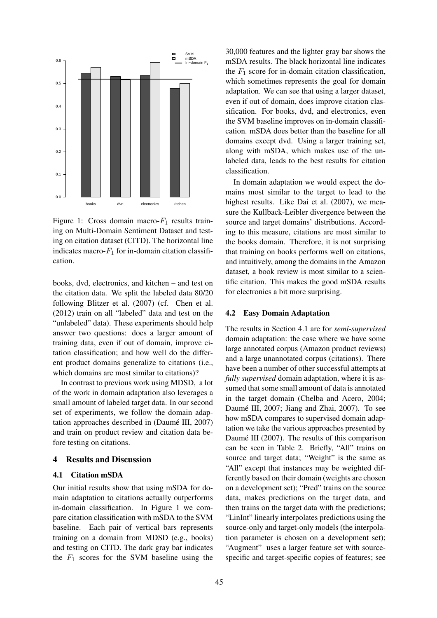

Figure 1: Cross domain macro- $F_1$  results training on Multi-Domain Sentiment Dataset and testing on citation dataset (CITD). The horizontal line indicates macro- $F_1$  for in-domain citation classification.

books, dvd, electronics, and kitchen – and test on the citation data. We split the labeled data 80/20 following Blitzer et al. (2007) (cf. Chen et al. (2012) train on all "labeled" data and test on the "unlabeled" data). These experiments should help answer two questions: does a larger amount of training data, even if out of domain, improve citation classification; and how well do the different product domains generalize to citations (i.e., which domains are most similar to citations)?

In contrast to previous work using MDSD, a lot of the work in domain adaptation also leverages a small amount of labeled target data. In our second set of experiments, we follow the domain adaptation approaches described in (Daumé III, 2007) and train on product review and citation data before testing on citations.

# 4 Results and Discussion

#### 4.1 Citation mSDA

Our initial results show that using mSDA for domain adaptation to citations actually outperforms in-domain classification. In Figure 1 we compare citation classification with mSDA to the SVM baseline. Each pair of vertical bars represents training on a domain from MDSD (e.g., books) and testing on CITD. The dark gray bar indicates the  $F_1$  scores for the SVM baseline using the

30,000 features and the lighter gray bar shows the mSDA results. The black horizontal line indicates the  $F_1$  score for in-domain citation classification, which sometimes represents the goal for domain adaptation. We can see that using a larger dataset, even if out of domain, does improve citation classification. For books, dvd, and electronics, even the SVM baseline improves on in-domain classification. mSDA does better than the baseline for all domains except dvd. Using a larger training set, along with mSDA, which makes use of the unlabeled data, leads to the best results for citation classification.

In domain adaptation we would expect the domains most similar to the target to lead to the highest results. Like Dai et al. (2007), we measure the Kullback-Leibler divergence between the source and target domains' distributions. According to this measure, citations are most similar to the books domain. Therefore, it is not surprising that training on books performs well on citations, and intuitively, among the domains in the Amazon dataset, a book review is most similar to a scientific citation. This makes the good mSDA results for electronics a bit more surprising.

#### 4.2 Easy Domain Adaptation

The results in Section 4.1 are for *semi-supervised* domain adaptation: the case where we have some large annotated corpus (Amazon product reviews) and a large unannotated corpus (citations). There have been a number of other successful attempts at *fully supervised* domain adaptation, where it is assumed that some small amount of data is annotated in the target domain (Chelba and Acero, 2004; Daumé III, 2007; Jiang and Zhai, 2007). To see how mSDA compares to supervised domain adaptation we take the various approaches presented by Daumé III (2007). The results of this comparison can be seen in Table 2. Briefly, "All" trains on source and target data; "Weight" is the same as "All" except that instances may be weighted differently based on their domain (weights are chosen on a development set); "Pred" trains on the source data, makes predictions on the target data, and then trains on the target data with the predictions; "LinInt" linearly interpolates predictions using the source-only and target-only models (the interpolation parameter is chosen on a development set); "Augment" uses a larger feature set with sourcespecific and target-specific copies of features; see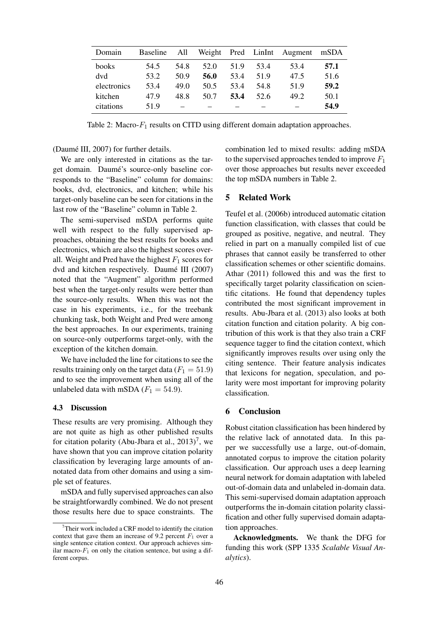| Domain      | Baseline All |      |      |      |      | Weight Pred LinInt Augment | mSDA |
|-------------|--------------|------|------|------|------|----------------------------|------|
| books       | 54.5         | 54.8 | 52.0 | 51.9 | 53.4 | 53.4                       | 57.1 |
| dvd         | 53.2         | 50.9 | 56.0 | 53.4 | 51.9 | 47.5                       | 51.6 |
| electronics | 53.4         | 49.0 | 50.5 | 53.4 | 54.8 | 51.9                       | 59.2 |
| kitchen     | 47.9         | 48.8 | 50.7 | 53.4 | 52.6 | 49.2                       | 50.1 |
| citations   | 51.9         |      |      |      |      |                            | 54.9 |

Table 2: Macro- $F_1$  results on CITD using different domain adaptation approaches.

(Daumé III, 2007) for further details.

We are only interested in citations as the target domain. Daumé's source-only baseline corresponds to the "Baseline" column for domains: books, dvd, electronics, and kitchen; while his target-only baseline can be seen for citations in the last row of the "Baseline" column in Table 2.

The semi-supervised mSDA performs quite well with respect to the fully supervised approaches, obtaining the best results for books and electronics, which are also the highest scores overall. Weight and Pred have the highest  $F_1$  scores for dvd and kitchen respectively. Daumé III (2007) noted that the "Augment" algorithm performed best when the target-only results were better than the source-only results. When this was not the case in his experiments, i.e., for the treebank chunking task, both Weight and Pred were among the best approaches. In our experiments, training on source-only outperforms target-only, with the exception of the kitchen domain.

We have included the line for citations to see the results training only on the target data ( $F_1 = 51.9$ ) and to see the improvement when using all of the unlabeled data with mSDA  $(F_1 = 54.9)$ .

#### 4.3 Discussion

These results are very promising. Although they are not quite as high as other published results for citation polarity (Abu-Jbara et al.,  $2013$ )<sup>7</sup>, we have shown that you can improve citation polarity classification by leveraging large amounts of annotated data from other domains and using a simple set of features.

mSDA and fully supervised approaches can also be straightforwardly combined. We do not present those results here due to space constraints. The combination led to mixed results: adding mSDA to the supervised approaches tended to improve  $F_1$ over those approaches but results never exceeded the top mSDA numbers in Table 2.

# 5 Related Work

Teufel et al. (2006b) introduced automatic citation function classification, with classes that could be grouped as positive, negative, and neutral. They relied in part on a manually compiled list of cue phrases that cannot easily be transferred to other classification schemes or other scientific domains. Athar (2011) followed this and was the first to specifically target polarity classification on scientific citations. He found that dependency tuples contributed the most significant improvement in results. Abu-Jbara et al. (2013) also looks at both citation function and citation polarity. A big contribution of this work is that they also train a CRF sequence tagger to find the citation context, which significantly improves results over using only the citing sentence. Their feature analysis indicates that lexicons for negation, speculation, and polarity were most important for improving polarity classification.

# 6 Conclusion

Robust citation classification has been hindered by the relative lack of annotated data. In this paper we successfully use a large, out-of-domain, annotated corpus to improve the citation polarity classification. Our approach uses a deep learning neural network for domain adaptation with labeled out-of-domain data and unlabeled in-domain data. This semi-supervised domain adaptation approach outperforms the in-domain citation polarity classification and other fully supervised domain adaptation approaches.

Acknowledgments. We thank the DFG for funding this work (SPP 1335 *Scalable Visual Analytics*).

 $7$ Their work included a CRF model to identify the citation context that gave them an increase of 9.2 percent  $F_1$  over a single sentence citation context. Our approach achieves similar macro- $F_1$  on only the citation sentence, but using a different corpus.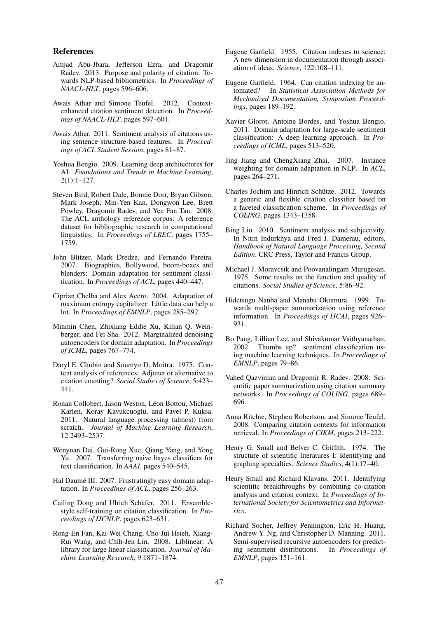#### References

- Amjad Abu-Jbara, Jefferson Ezra, and Dragomir Radev. 2013. Purpose and polarity of citation: Towards NLP-based bibliometrics. In *Proceedings of NAACL-HLT*, pages 596–606.
- Awais Athar and Simone Teufel. 2012. Contextenhanced citation sentiment detection. In *Proceedings of NAACL-HLT*, pages 597–601.
- Awais Athar. 2011. Sentiment analysis of citations using sentence structure-based features. In *Proceedings of ACL Student Session*, pages 81–87.
- Yoshua Bengio. 2009. Learning deep architectures for AI. *Foundations and Trends in Machine Learning*, 2(1):1–127.
- Steven Bird, Robert Dale, Bonnie Dorr, Bryan Gibson, Mark Joseph, Min-Yen Kan, Dongwon Lee, Brett Powley, Dragomir Radev, and Yee Fan Tan. 2008. The ACL anthology reference corpus: A reference dataset for bibliographic research in computational linguistics. In *Proceedings of LREC*, pages 1755– 1759.
- John Blitzer, Mark Dredze, and Fernando Pereira. 2007. Biographies, Bollywood, boom-boxes and blenders: Domain adaptation for sentiment classification. In *Proceedings of ACL*, pages 440–447.
- Ciprian Chelba and Alex Acero. 2004. Adaptation of maximum entropy capitalizer: Little data can help a lot. In *Proceedings of EMNLP*, pages 285–292.
- Minmin Chen, Zhixiang Eddie Xu, Kilian Q. Weinberger, and Fei Sha. 2012. Marginalized denoising autoencoders for domain adaptation. In *Proceedings of ICML*, pages 767–774.
- Daryl E. Chubin and Soumyo D. Moitra. 1975. Content analysis of references: Adjunct or alternative to citation counting? *Social Studies of Science*, 5:423– 441.
- Ronan Collobert, Jason Weston, Léon Bottou, Michael Karlen, Koray Kavukcuoglu, and Pavel P. Kuksa. 2011. Natural language processing (almost) from scratch. *Journal of Machine Learning Research*, 12:2493–2537.
- Wenyuan Dai, Gui-Rong Xue, Qiang Yang, and Yong Yu. 2007. Transferring naive bayes classifiers for text classification. In *AAAI*, pages 540–545.
- Hal Daumé III. 2007. Frustratingly easy domain adaptation. In *Proceedings of ACL*, pages 256–263.
- Cailing Dong and Ulrich Schäfer. 2011. Ensemblestyle self-training on citation classification. In *Proceedings of IJCNLP*, pages 623–631.
- Rong-En Fan, Kai-Wei Chang, Cho-Jui Hsieh, Xiang-Rui Wang, and Chih-Jen Lin. 2008. Liblinear: A library for large linear classification. *Journal of Machine Learning Research*, 9:1871–1874.
- Eugene Garfield. 1955. Citation indexes to science: A new dimension in documentation through association of ideas. *Science*, 122:108–111.
- Eugene Garfield. 1964. Can citation indexing be automated? In *Statistical Association Methods for Mechanized Documentation, Symposium Proceedings*, pages 189–192.
- Xavier Glorot, Antoine Bordes, and Yoshua Bengio. 2011. Domain adaptation for large-scale sentiment classification: A deep learning approach. In *Proceedings of ICML*, pages 513–520.
- Jing Jiang and ChengXiang Zhai. 2007. Instance weighting for domain adaptation in NLP. In *ACL*, pages 264–271.
- Charles Jochim and Hinrich Schütze. 2012. Towards a generic and flexible citation classifier based on a faceted classification scheme. In *Proceedings of COLING*, pages 1343–1358.
- Bing Liu. 2010. Sentiment analysis and subjectivity. In Nitin Indurkhya and Fred J. Damerau, editors, *Handbook of Natural Language Processing, Second Edition*. CRC Press, Taylor and Francis Group.
- Michael J. Moravcsik and Poovanalingam Murugesan. 1975. Some results on the function and quality of citations. *Social Studies of Science*, 5:86–92.
- Hidetsugu Nanba and Manabu Okumura. 1999. Towards multi-paper summarization using reference information. In *Proceedings of IJCAI*, pages 926– 931.
- Bo Pang, Lillian Lee, and Shivakumar Vaithyanathan. 2002. Thumbs up? sentiment classification using machine learning techniques. In *Proceedings of EMNLP*, pages 79–86.
- Vahed Qazvinian and Dragomir R. Radev. 2008. Scientific paper summarization using citation summary networks. In *Proceedings of COLING*, pages 689– 696.
- Anna Ritchie, Stephen Robertson, and Simone Teufel. 2008. Comparing citation contexts for information retrieval. In *Proceedings of CIKM*, pages 213–222.
- Henry G. Small and Belver C. Griffith. 1974. The structure of scientific literatures I: Identifying and graphing specialties. *Science Studies*, 4(1):17–40.
- Henry Small and Richard Klavans. 2011. Identifying scientific breakthroughs by combining co-citation analysis and citation context. In *Proceedings of International Society for Scientometrics and Informetrics*.
- Richard Socher, Jeffrey Pennington, Eric H. Huang, Andrew Y. Ng, and Christopher D. Manning. 2011. Semi-supervised recursive autoencoders for predicting sentiment distributions. In *Proceedings of EMNLP*, pages 151–161.